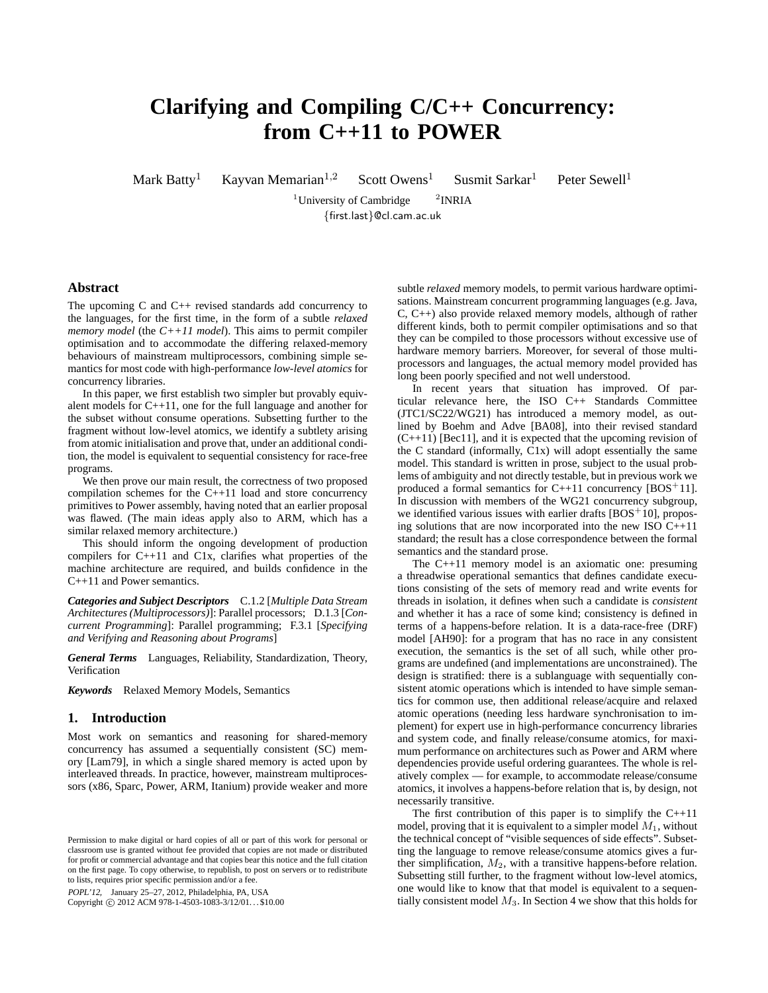# **Clarifying and Compiling C/C++ Concurrency: from C++11 to POWER**

Mark Batty<sup>1</sup> Kayvan Memarian<sup>1,2</sup> Scott Owens<sup>1</sup> Susmit Sarkar<sup>1</sup> Peter Sewell<sup>1</sup>

<sup>1</sup>University of Cambridge  $^{2}$ INRIA {first.last}@cl.cam.ac.uk

# **Abstract**

The upcoming C and C++ revised standards add concurrency to the languages, for the first time, in the form of a subtle *relaxed memory model* (the *C++11 model*). This aims to permit compiler optimisation and to accommodate the differing relaxed-memory behaviours of mainstream multiprocessors, combining simple semantics for most code with high-performance *low-level atomics* for concurrency libraries.

In this paper, we first establish two simpler but provably equivalent models for C++11, one for the full language and another for the subset without consume operations. Subsetting further to the fragment without low-level atomics, we identify a subtlety arising from atomic initialisation and prove that, under an additional condition, the model is equivalent to sequential consistency for race-free programs.

We then prove our main result, the correctness of two proposed compilation schemes for the C++11 load and store concurrency primitives to Power assembly, having noted that an earlier proposal was flawed. (The main ideas apply also to ARM, which has a similar relaxed memory architecture.)

This should inform the ongoing development of production compilers for C++11 and C1x, clarifies what properties of the machine architecture are required, and builds confidence in the C++11 and Power semantics.

*Categories and Subject Descriptors* C.1.2 [*Multiple Data Stream Architectures (Multiprocessors)*]: Parallel processors; D.1.3 [*Concurrent Programming*]: Parallel programming; F.3.1 [*Specifying and Verifying and Reasoning about Programs*]

*General Terms* Languages, Reliability, Standardization, Theory, Verification

*Keywords* Relaxed Memory Models, Semantics

## **1. Introduction**

Most work on semantics and reasoning for shared-memory concurrency has assumed a sequentially consistent (SC) memory [Lam79], in which a single shared memory is acted upon by interleaved threads. In practice, however, mainstream multiprocessors (x86, Sparc, Power, ARM, Itanium) provide weaker and more

POPL'12, January 25–27, 2012, Philadelphia, PA, USA

Copyright © 2012 ACM 978-1-4503-1083-3/12/01... \$10.00

subtle *relaxed* memory models, to permit various hardware optimisations. Mainstream concurrent programming languages (e.g. Java, C, C++) also provide relaxed memory models, although of rather different kinds, both to permit compiler optimisations and so that they can be compiled to those processors without excessive use of hardware memory barriers. Moreover, for several of those multiprocessors and languages, the actual memory model provided has long been poorly specified and not well understood.

In recent years that situation has improved. Of particular relevance here, the ISO C++ Standards Committee (JTC1/SC22/WG21) has introduced a memory model, as outlined by Boehm and Adve [BA08], into their revised standard  $(C+11)$  [Bec11], and it is expected that the upcoming revision of the C standard (informally, C1x) will adopt essentially the same model. This standard is written in prose, subject to the usual problems of ambiguity and not directly testable, but in previous work we produced a formal semantics for  $C+11$  concurrency [BOS<sup>+</sup>11]. In discussion with members of the WG21 concurrency subgroup, we identified various issues with earlier drafts  $IBOS<sup>+</sup>10$ , proposing solutions that are now incorporated into the new ISO C++11 standard; the result has a close correspondence between the formal semantics and the standard prose.

The C++11 memory model is an axiomatic one: presuming a threadwise operational semantics that defines candidate executions consisting of the sets of memory read and write events for threads in isolation, it defines when such a candidate is *consistent* and whether it has a race of some kind; consistency is defined in terms of a happens-before relation. It is a data-race-free (DRF) model [AH90]: for a program that has no race in any consistent execution, the semantics is the set of all such, while other programs are undefined (and implementations are unconstrained). The design is stratified: there is a sublanguage with sequentially consistent atomic operations which is intended to have simple semantics for common use, then additional release/acquire and relaxed atomic operations (needing less hardware synchronisation to implement) for expert use in high-performance concurrency libraries and system code, and finally release/consume atomics, for maximum performance on architectures such as Power and ARM where dependencies provide useful ordering guarantees. The whole is relatively complex — for example, to accommodate release/consume atomics, it involves a happens-before relation that is, by design, not necessarily transitive.

The first contribution of this paper is to simplify the  $C+11$ model, proving that it is equivalent to a simpler model  $M_1$ , without the technical concept of "visible sequences of side effects". Subsetting the language to remove release/consume atomics gives a further simplification,  $M_2$ , with a transitive happens-before relation. Subsetting still further, to the fragment without low-level atomics, one would like to know that that model is equivalent to a sequentially consistent model  $M_3$ . In Section 4 we show that this holds for

Permission to make digital or hard copies of all or part of this work for personal or classroom use is granted without fee provided that copies are not made or distributed for profit or commercial advantage and that copies bear this notice and the full citation on the first page. To copy otherwise, to republish, to post on servers or to redistribute to lists, requires prior specific permission and/or a fee.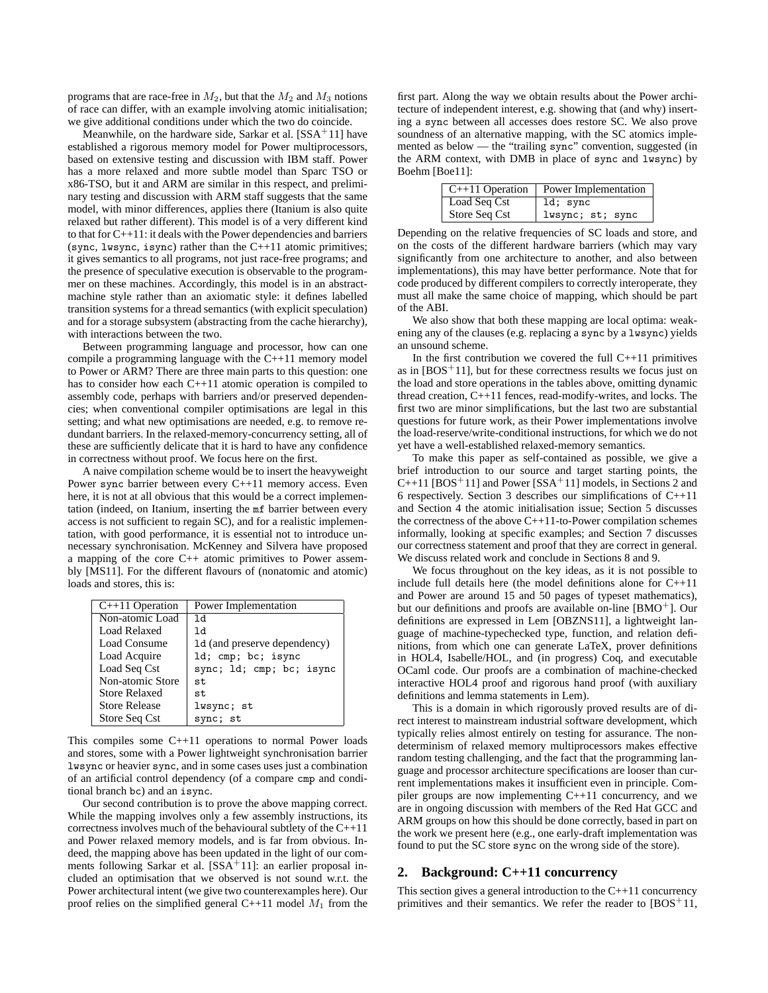programs that are race-free in  $M_2$ , but that the  $M_2$  and  $M_3$  notions of race can differ, with an example involving atomic initialisation; we give additional conditions under which the two do coincide.

Meanwhile, on the hardware side, Sarkar et al.  $[SSA<sup>+</sup>11]$  have established a rigorous memory model for Power multiprocessors, based on extensive testing and discussion with IBM staff. Power has a more relaxed and more subtle model than Sparc TSO or x86-TSO, but it and ARM are similar in this respect, and preliminary testing and discussion with ARM staff suggests that the same model, with minor differences, applies there (Itanium is also quite relaxed but rather different). This model is of a very different kind to that for C++11: it deals with the Power dependencies and barriers (sync, lwsync, isync) rather than the C++11 atomic primitives; it gives semantics to all programs, not just race-free programs; and the presence of speculative execution is observable to the programmer on these machines. Accordingly, this model is in an abstractmachine style rather than an axiomatic style: it defines labelled transition systems for a thread semantics (with explicit speculation) and for a storage subsystem (abstracting from the cache hierarchy), with interactions between the two.

Between programming language and processor, how can one compile a programming language with the C++11 memory model to Power or ARM? There are three main parts to this question: one has to consider how each C++11 atomic operation is compiled to assembly code, perhaps with barriers and/or preserved dependencies; when conventional compiler optimisations are legal in this setting; and what new optimisations are needed, e.g. to remove redundant barriers. In the relaxed-memory-concurrency setting, all of these are sufficiently delicate that it is hard to have any confidence in correctness without proof. We focus here on the first.

A naive compilation scheme would be to insert the heavyweight Power sync barrier between every C++11 memory access. Even here, it is not at all obvious that this would be a correct implementation (indeed, on Itanium, inserting the mf barrier between every access is not sufficient to regain SC), and for a realistic implementation, with good performance, it is essential not to introduce unnecessary synchronisation. McKenney and Silvera have proposed a mapping of the core C++ atomic primitives to Power assembly [MS11]. For the different flavours of (nonatomic and atomic) loads and stores, this is:

| $C++11$ Operation    | Power Implementation         |
|----------------------|------------------------------|
| Non-atomic Load      | ld                           |
| Load Relaxed         | 1d                           |
| Load Consume         | 1d (and preserve dependency) |
| Load Acquire         | ld; cmp; bc; isync           |
| Load Seq Cst         | sync; ld; cmp; bc; isync     |
| Non-atomic Store     | st.                          |
| <b>Store Relaxed</b> | st.                          |
| <b>Store Release</b> | lwsync; st                   |
| Store Seq Cst        | sync; st                     |

This compiles some C++11 operations to normal Power loads and stores, some with a Power lightweight synchronisation barrier lwsync or heavier sync, and in some cases uses just a combination of an artificial control dependency (of a compare cmp and conditional branch bc) and an isync.

Our second contribution is to prove the above mapping correct. While the mapping involves only a few assembly instructions, its correctness involves much of the behavioural subtlety of the C++11 and Power relaxed memory models, and is far from obvious. Indeed, the mapping above has been updated in the light of our comments following Sarkar et al.  $[SSA<sup>+</sup>11]$ : an earlier proposal included an optimisation that we observed is not sound w.r.t. the Power architectural intent (we give two counterexamples here). Our proof relies on the simplified general C++11 model  $M_1$  from the

first part. Along the way we obtain results about the Power architecture of independent interest, e.g. showing that (and why) inserting a sync between all accesses does restore SC. We also prove soundness of an alternative mapping, with the SC atomics implemented as below — the "trailing sync" convention, suggested (in the ARM context, with DMB in place of sync and lwsync) by Boehm [Boe11]:

| $C++11$ Operation | Power Implementation |
|-------------------|----------------------|
| Load Seq Cst      | ld; sync             |
| Store Seq Cst     | lwsync; st; sync     |

Depending on the relative frequencies of SC loads and store, and on the costs of the different hardware barriers (which may vary significantly from one architecture to another, and also between implementations), this may have better performance. Note that for code produced by different compilers to correctly interoperate, they must all make the same choice of mapping, which should be part of the ABI.

We also show that both these mapping are local optima: weakening any of the clauses (e.g. replacing a sync by a lwsync) yields an unsound scheme.

In the first contribution we covered the full  $C+11$  primitives as in  $[BOS^+11]$ , but for these correctness results we focus just on the load and store operations in the tables above, omitting dynamic thread creation, C++11 fences, read-modify-writes, and locks. The first two are minor simplifications, but the last two are substantial questions for future work, as their Power implementations involve the load-reserve/write-conditional instructions, for which we do not yet have a well-established relaxed-memory semantics.

To make this paper as self-contained as possible, we give a brief introduction to our source and target starting points, the  $C+11$  [BOS<sup>+</sup>11] and Power [SSA<sup>+</sup>11] models, in Sections 2 and 6 respectively. Section 3 describes our simplifications of C++11 and Section 4 the atomic initialisation issue; Section 5 discusses the correctness of the above  $C+11$ -to-Power compilation schemes informally, looking at specific examples; and Section 7 discusses our correctness statement and proof that they are correct in general. We discuss related work and conclude in Sections 8 and 9.

We focus throughout on the key ideas, as it is not possible to include full details here (the model definitions alone for C++11 and Power are around 15 and 50 pages of typeset mathematics), but our definitions and proofs are available on-line  $[BMO^+]$ . Our definitions are expressed in Lem [OBZNS11], a lightweight language of machine-typechecked type, function, and relation definitions, from which one can generate LaTeX, prover definitions in HOL4, Isabelle/HOL, and (in progress) Coq, and executable OCaml code. Our proofs are a combination of machine-checked interactive HOL4 proof and rigorous hand proof (with auxiliary definitions and lemma statements in Lem).

This is a domain in which rigorously proved results are of direct interest to mainstream industrial software development, which typically relies almost entirely on testing for assurance. The nondeterminism of relaxed memory multiprocessors makes effective random testing challenging, and the fact that the programming language and processor architecture specifications are looser than current implementations makes it insufficient even in principle. Compiler groups are now implementing C++11 concurrency, and we are in ongoing discussion with members of the Red Hat GCC and ARM groups on how this should be done correctly, based in part on the work we present here (e.g., one early-draft implementation was found to put the SC store sync on the wrong side of the store).

#### **2. Background: C++11 concurrency**

This section gives a general introduction to the  $C+11$  concurrency primitives and their semantics. We refer the reader to  $[BOS^+11]$ ,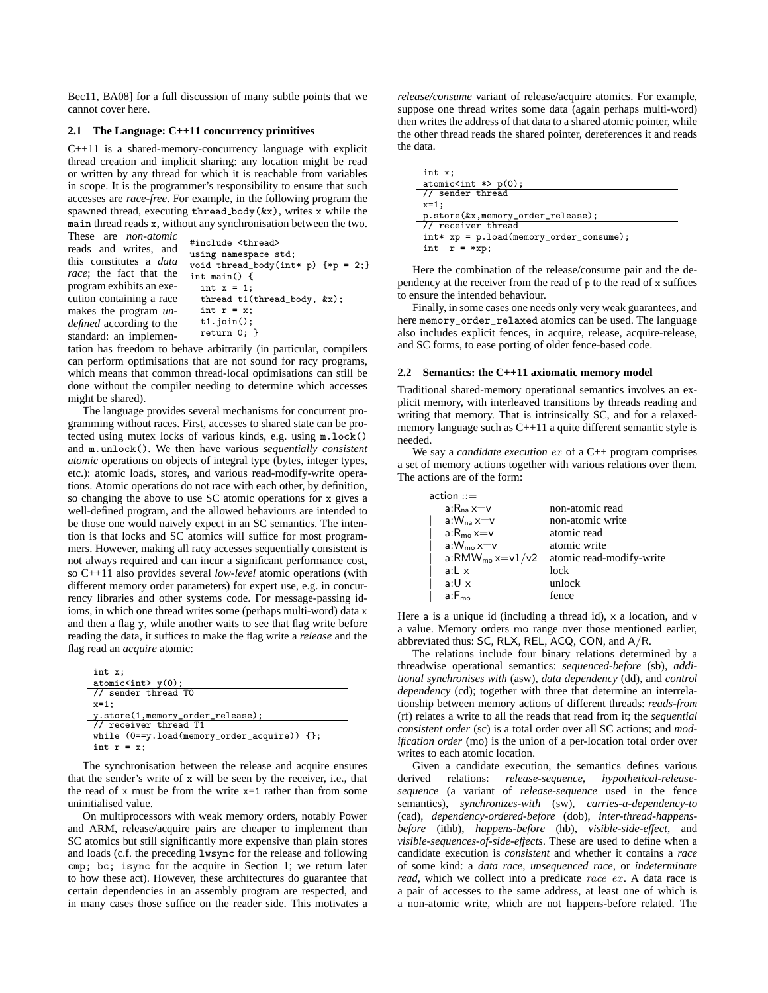Bec11, BA08] for a full discussion of many subtle points that we cannot cover here.

#### **2.1 The Language: C++11 concurrency primitives**

C++11 is a shared-memory-concurrency language with explicit thread creation and implicit sharing: any location might be read or written by any thread for which it is reachable from variables in scope. It is the programmer's responsibility to ensure that such accesses are *race-free*. For example, in the following program the spawned thread, executing thread body(&x), writes x while the main thread reads x, without any synchronisation between the two.

#include <thread> using namespace std; void thread\_body(int\* p)  $\{ \text{*p} = 2 \}$ int main() { int  $x = 1$ ; thread t1(thread\_body, &x); int  $r = x$ ; t1.join(); return 0; } These are *non-atomic* reads and writes, and this constitutes a *data race*; the fact that the program exhibits an execution containing a race makes the program *undefined* according to the standard: an implemen-

tation has freedom to behave arbitrarily (in particular, compilers can perform optimisations that are not sound for racy programs, which means that common thread-local optimisations can still be done without the compiler needing to determine which accesses might be shared).

The language provides several mechanisms for concurrent programming without races. First, accesses to shared state can be protected using mutex locks of various kinds, e.g. using m.lock() and m.unlock(). We then have various *sequentially consistent atomic* operations on objects of integral type (bytes, integer types, etc.): atomic loads, stores, and various read-modify-write operations. Atomic operations do not race with each other, by definition, so changing the above to use SC atomic operations for x gives a well-defined program, and the allowed behaviours are intended to be those one would naively expect in an SC semantics. The intention is that locks and SC atomics will suffice for most programmers. However, making all racy accesses sequentially consistent is not always required and can incur a significant performance cost, so C++11 also provides several *low-level* atomic operations (with different memory order parameters) for expert use, e.g. in concurrency libraries and other systems code. For message-passing idioms, in which one thread writes some (perhaps multi-word) data x and then a flag y, while another waits to see that flag write before reading the data, it suffices to make the flag write a *release* and the flag read an *acquire* atomic:

| int x;                                                    |
|-----------------------------------------------------------|
| $atomic<$ int> $y(0)$ ;                                   |
| // sender thread TO                                       |
| $x=1$ ;                                                   |
| y.store(1,memory_order_release);<br>// receiver thread T1 |
|                                                           |
| while $(0 == y.load(memory-order_acquire))$ {};           |
| int $r = x$ ;                                             |

The synchronisation between the release and acquire ensures that the sender's write of x will be seen by the receiver, i.e., that the read of x must be from the write x=1 rather than from some uninitialised value.

On multiprocessors with weak memory orders, notably Power and ARM, release/acquire pairs are cheaper to implement than SC atomics but still significantly more expensive than plain stores and loads (c.f. the preceding lwsync for the release and following cmp; bc; isync for the acquire in Section 1; we return later to how these act). However, these architectures do guarantee that certain dependencies in an assembly program are respected, and in many cases those suffice on the reader side. This motivates a

*release/consume* variant of release/acquire atomics. For example, suppose one thread writes some data (again perhaps multi-word) then writes the address of that data to a shared atomic pointer, while the other thread reads the shared pointer, dereferences it and reads the data.

| int x;                                      |
|---------------------------------------------|
| $atomic\times int * > p(0);$                |
| // sender thread                            |
| $x=1$ :                                     |
| p.store(&x,memory_order_release);           |
| 77 receiver thread                          |
|                                             |
| $int* xp = p.load(memory-order_countsume);$ |

Here the combination of the release/consume pair and the dependency at the receiver from the read of p to the read of x suffices to ensure the intended behaviour.

Finally, in some cases one needs only very weak guarantees, and here memory\_order\_relaxed atomics can be used. The language also includes explicit fences, in acquire, release, acquire-release, and SC forms, to ease porting of older fence-based code.

#### **2.2 Semantics: the C++11 axiomatic memory model**

Traditional shared-memory operational semantics involves an explicit memory, with interleaved transitions by threads reading and writing that memory. That is intrinsically SC, and for a relaxedmemory language such as C++11 a quite different semantic style is needed.

We say a *candidate execution* ex of a C++ program comprises a set of memory actions together with various relations over them. The actions are of the form:

| $action ::=$                               |                          |
|--------------------------------------------|--------------------------|
| $a:R_{na}x=v$                              | non-atomic read          |
| $a:W_{na}x=v$                              | non-atomic write         |
| $a:R_{\text{mo}} \times=v$                 | atomic read              |
| $a:W_{\text{mo}} \times = v$               | atomic write             |
| a: $\text{RMW}_{\text{mo}} \times = v1/v2$ | atomic read-modify-write |
| $a:L \times$                               | lock                     |
| $a:U \times$                               | unlock                   |
| $a: F_{\text{max}}$                        | fence                    |

Here a is a unique id (including a thread id),  $\times$  a location, and  $\times$ a value. Memory orders mo range over those mentioned earlier, abbreviated thus: SC, RLX, REL, ACQ, CON, and A/R.

The relations include four binary relations determined by a threadwise operational semantics: *sequenced-before* (sb), *additional synchronises with* (asw), *data dependency* (dd), and *control dependency* (cd); together with three that determine an interrelationship between memory actions of different threads: *reads-from* (rf) relates a write to all the reads that read from it; the *sequential consistent order* (sc) is a total order over all SC actions; and *modification order* (mo) is the union of a per-location total order over writes to each atomic location.

Given a candidate execution, the semantics defines various derived relations: *release-sequence*, *hypothetical-releasesequence* (a variant of *release-sequence* used in the fence semantics), *synchronizes-with* (sw), *carries-a-dependency-to* (cad), *dependency-ordered-before* (dob), *inter-thread-happensbefore* (ithb), *happens-before* (hb), *visible-side-effect*, and *visible-sequences-of-side-effects*. These are used to define when a candidate execution is *consistent* and whether it contains a *race* of some kind: a *data race*, *unsequenced race*, or *indeterminate read*, which we collect into a predicate *race ex*. A data race is a pair of accesses to the same address, at least one of which is a non-atomic write, which are not happens-before related. The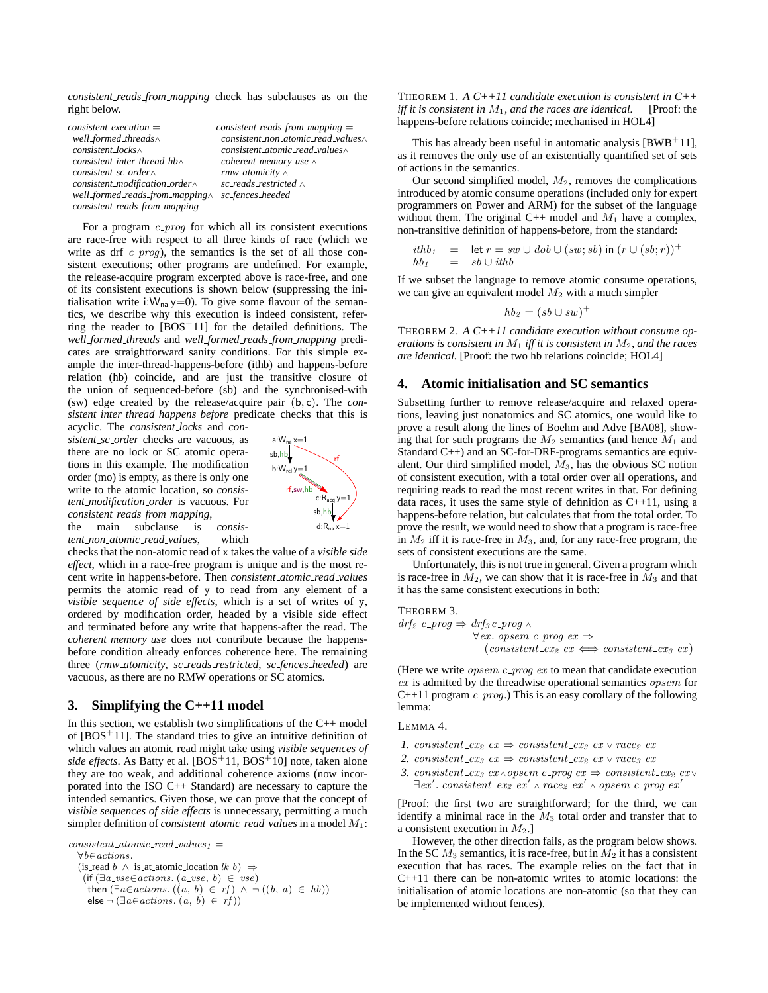*consistent reads from mapping* check has subclauses as on the right below.

| $consistent\_execution =$                | $consistent\_{reads\_{from\_{mapping}} =$ |
|------------------------------------------|-------------------------------------------|
| well_formed_threads $\wedge$             | consistent_non_atomic_read_values         |
| $consistent\_locks \land$                | consistent_atomic_read_values             |
| consistent_inter_thread_hb $\land$       | $coherent_memory\_use \wedge$             |
| $consistent\_sc\_order \wedge$           | rmw_atomicity $\wedge$                    |
| $consistent\_modification\_order \wedge$ | sc_reads_restricted $\wedge$              |
| well_formed_reads_from_mapping $\wedge$  | sc_fences_heeded                          |
| consistent_reads_from_mapping            |                                           |

For a program  $c$ -prog for which all its consistent executions are race-free with respect to all three kinds of race (which we write as drf  $c$ -proq), the semantics is the set of all those consistent executions; other programs are undefined. For example, the release-acquire program excerpted above is race-free, and one of its consistent executions is shown below (suppressing the initialisation write i: $W_{na}$  y=0). To give some flavour of the semantics, we describe why this execution is indeed consistent, referring the reader to  $[BOS^+11]$  for the detailed definitions. The *well formed threads* and *well formed reads from mapping* predicates are straightforward sanity conditions. For this simple example the inter-thread-happens-before (ithb) and happens-before relation (hb) coincide, and are just the transitive closure of the union of sequenced-before (sb) and the synchronised-with (sw) edge created by the release/acquire pair (b, c). The *consistent inter thread happens before* predicate checks that this is acyclic. The *consistent locks* and *con-*

*sistent sc order* checks are vacuous, as there are no lock or SC atomic operations in this example. The modification order (mo) is empty, as there is only one write to the atomic location, so *consistent modification order* is vacuous. For *consistent reads from mapping*,



the main subclause is *consistent non atomic read values*, which

checks that the non-atomic read of x takes the value of a *visible side effect*, which in a race-free program is unique and is the most recent write in happens-before. Then *consistent atomic read values* permits the atomic read of y to read from any element of a *visible sequence of side effects*, which is a set of writes of y, ordered by modification order, headed by a visible side effect and terminated before any write that happens-after the read. The *coherent memory use* does not contribute because the happensbefore condition already enforces coherence here. The remaining three (*rmw atomicity*, *sc reads restricted*, *sc fences heeded*) are vacuous, as there are no RMW operations or SC atomics.

# **3. Simplifying the C++11 model**

In this section, we establish two simplifications of the  $C++$  model of  $[BOS<sup>+</sup>11]$ . The standard tries to give an intuitive definition of which values an atomic read might take using *visible sequences of side effects*. As Batty et al.  $[BOS^+11, BOS^+10]$  note, taken alone they are too weak, and additional coherence axioms (now incorporated into the ISO C++ Standard) are necessary to capture the intended semantics. Given those, we can prove that the concept of *visible sequences of side effects* is unnecessary, permitting a much simpler definition of *consistent atomic read values* in a model M1:

 $consistent\_atomic\_read\_values_1 =$ 

∀b∈actions.

(is\_read b  $\land$  is\_at\_atomic\_location  $lk b$ )  $\Rightarrow$ 

(if  $(\exists a\_vse \in actions. (a\_vse, b) \in vse)$ 

then  $(\exists a \in actions \ (a, b) \in rf) \ \land \ \neg \ ((b, a) \in hb))$ else ¬  $(∃a∈actions. (a, b) ∈ rf$ )

THEOREM 1. *A C++11 candidate execution is consistent in C++ iff it is consistent in* M1*, and the races are identical.* [Proof: the happens-before relations coincide; mechanised in HOL4]

This has already been useful in automatic analysis  $[BWB^+11]$ , as it removes the only use of an existentially quantified set of sets of actions in the semantics.

Our second simplified model,  $M_2$ , removes the complications introduced by atomic consume operations (included only for expert programmers on Power and ARM) for the subset of the language without them. The original C++ model and  $M_1$  have a complex, non-transitive definition of happens-before, from the standard:

$$
ithb1 = let r = sw \cup dob \cup (sw; sb) in (r \cup (sb; r))+
$$
  

$$
hb1 = sb \cup ithb
$$

If we subset the language to remove atomic consume operations, we can give an equivalent model  $M_2$  with a much simpler

$$
hb_2=(sb\cup sw)^+
$$

THEOREM 2. *A C++11 candidate execution without consume operations is consistent in*  $M_1$  *iff it is consistent in*  $M_2$ *, and the races are identical.* [Proof: the two hb relations coincide; HOL4]

# **4. Atomic initialisation and SC semantics**

Subsetting further to remove release/acquire and relaxed operations, leaving just nonatomics and SC atomics, one would like to prove a result along the lines of Boehm and Adve [BA08], showing that for such programs the  $M_2$  semantics (and hence  $M_1$  and Standard C++) and an SC-for-DRF-programs semantics are equivalent. Our third simplified model,  $M_3$ , has the obvious SC notion of consistent execution, with a total order over all operations, and requiring reads to read the most recent writes in that. For defining data races, it uses the same style of definition as C++11, using a happens-before relation, but calculates that from the total order. To prove the result, we would need to show that a program is race-free in  $M_2$  iff it is race-free in  $M_3$ , and, for any race-free program, the sets of consistent executions are the same.

Unfortunately, this is not true in general. Given a program which is race-free in  $M_2$ , we can show that it is race-free in  $M_3$  and that it has the same consistent executions in both:

THEOREM 3.  $drf_2 c\_prog \Rightarrow drf_3 c\_prog \land$  $∀ex. opsem c<sub>-</sub>prog ex ⇒$  $(consistent\_ex_2 ex \Longleftrightarrow consistent\_ex_3 ex)$ 

(Here we write  $opsem c\_prog$  ex to mean that candidate execution ex is admitted by the threadwise operational semantics opsem for  $C+11$  program  $c$ -prog.) This is an easy corollary of the following lemma:

## LEMMA 4.

- *1.* consistent\_ex<sub>2</sub> ex  $\Rightarrow$  consistent\_ex<sub>3</sub> ex  $\vee$  race<sub>2</sub> ex
- 2. consistent\_ $ex_3$   $ex \Rightarrow$  consistent\_ $ex_2$   $ex \vee$  race<sub>3</sub> ex
- *3.* consistent\_ex<sub>3</sub> ex ∧opsem c\_prog ex  $\Rightarrow$  consistent\_ex<sub>2</sub> ex∨  $\exists \overline{ex}'. \textit{consistent\_ex}_2 \textit{ex}' \wedge \textit{race}_2 \textit{ex}' \wedge \textit{opsem c\_prog ex}'$

[Proof: the first two are straightforward; for the third, we can identify a minimal race in the  $M_3$  total order and transfer that to a consistent execution in  $M_2$ .]

However, the other direction fails, as the program below shows. In the SC  $M_3$  semantics, it is race-free, but in  $M_2$  it has a consistent execution that has races. The example relies on the fact that in C++11 there can be non-atomic writes to atomic locations: the initialisation of atomic locations are non-atomic (so that they can be implemented without fences).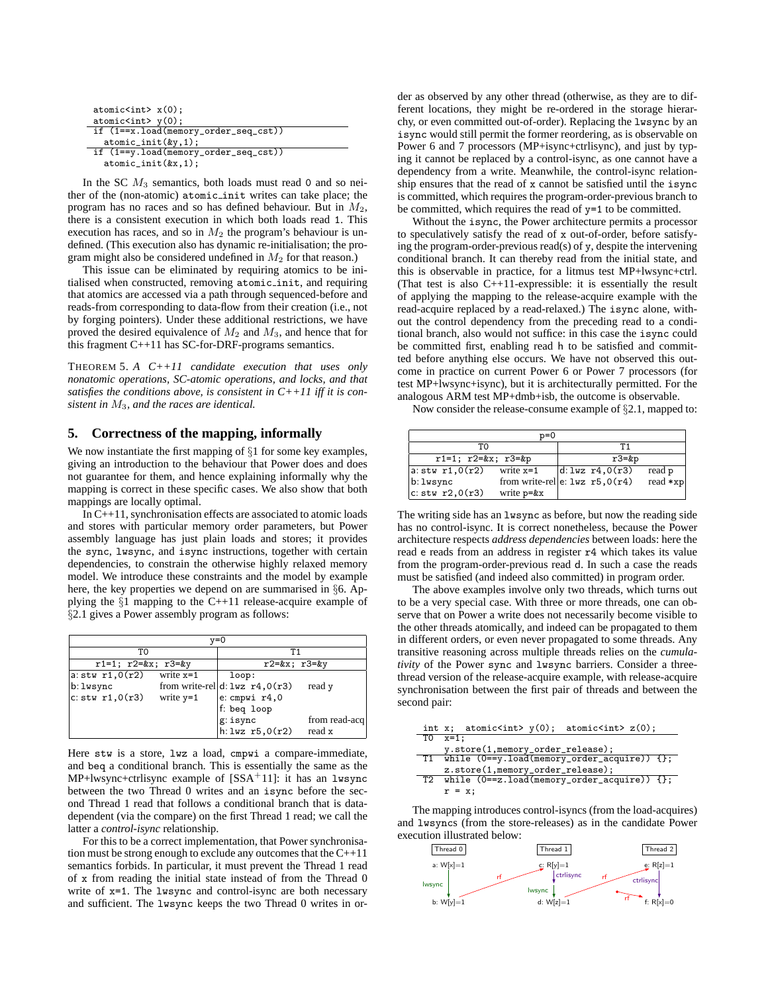| $atomic<$ int> $x(0)$ ;                        |
|------------------------------------------------|
| $atomic<$ int> $y(0)$ ;                        |
| if $(1=x.\text{load}(memory-order\_seq\_cst))$ |
| $atomic\_init(ky, 1);$                         |
| $if (1=y.load(memory-order\_seq_cst))$         |
| $atomic\_init(kx, 1)$ ;                        |

In the SC  $M_3$  semantics, both loads must read 0 and so neither of the (non-atomic) atomic init writes can take place; the program has no races and so has defined behaviour. But in  $M_2$ , there is a consistent execution in which both loads read 1. This execution has races, and so in  $M_2$  the program's behaviour is undefined. (This execution also has dynamic re-initialisation; the program might also be considered undefined in  $M_2$  for that reason.)

This issue can be eliminated by requiring atomics to be initialised when constructed, removing atomic init, and requiring that atomics are accessed via a path through sequenced-before and reads-from corresponding to data-flow from their creation (i.e., not by forging pointers). Under these additional restrictions, we have proved the desired equivalence of  $M_2$  and  $M_3$ , and hence that for this fragment C++11 has SC-for-DRF-programs semantics.

THEOREM 5. *A C++11 candidate execution that uses only nonatomic operations, SC-atomic operations, and locks, and that satisfies the conditions above, is consistent in C++11 iff it is consistent in* M3*, and the races are identical.*

# **5. Correctness of the mapping, informally**

We now instantiate the first mapping of §1 for some key examples, giving an introduction to the behaviour that Power does and does not guarantee for them, and hence explaining informally why the mapping is correct in these specific cases. We also show that both mappings are locally optimal.

In C++11, synchronisation effects are associated to atomic loads and stores with particular memory order parameters, but Power assembly language has just plain loads and stores; it provides the sync, lwsync, and isync instructions, together with certain dependencies, to constrain the otherwise highly relaxed memory model. We introduce these constraints and the model by example here, the key properties we depend on are summarised in §6. Applying the  $\S1$  mapping to the C++11 release-acquire example of §2.1 gives a Power assembly program as follows:

|                      |             | v=0                               |               |  |
|----------------------|-------------|-----------------------------------|---------------|--|
| T0                   |             | т1                                |               |  |
| $r1=1; r2=kx; r3=ky$ |             | $r2 = kx$ ; $r3 = kv$             |               |  |
| $a:$ stw $r1,0(r2)$  | write $x=1$ | loop:                             |               |  |
| $b:1$ wsync          |             | from write-rel d: $l$ wz r4,0(r3) | read y        |  |
| $c:$ stw $r1,0(r3)$  | write $y=1$ | $ e:$ cmpwi $r4,0$                |               |  |
|                      |             | f: beg loop                       |               |  |
|                      |             | g:isync                           | from read-acq |  |
|                      |             | $h:$ lwz $r5,0(r2)$               | read x        |  |

Here stw is a store, lwz a load, cmpwi a compare-immediate, and beq a conditional branch. This is essentially the same as the  $MP+lwsync+ctrlisync$  example of  $[SSA+11]$ : it has an lwsync between the two Thread 0 writes and an isync before the second Thread 1 read that follows a conditional branch that is datadependent (via the compare) on the first Thread 1 read; we call the latter a *control-isync* relationship.

For this to be a correct implementation, that Power synchronisation must be strong enough to exclude any outcomes that the C++11 semantics forbids. In particular, it must prevent the Thread 1 read of x from reading the initial state instead of from the Thread 0 write of  $x=1$ . The lwsync and control-isync are both necessary and sufficient. The lwsync keeps the two Thread 0 writes in order as observed by any other thread (otherwise, as they are to different locations, they might be re-ordered in the storage hierarchy, or even committed out-of-order). Replacing the lwsync by an isync would still permit the former reordering, as is observable on Power 6 and 7 processors (MP+isync+ctrlisync), and just by typing it cannot be replaced by a control-isync, as one cannot have a dependency from a write. Meanwhile, the control-isync relationship ensures that the read of x cannot be satisfied until the isync is committed, which requires the program-order-previous branch to be committed, which requires the read of y=1 to be committed.

Without the isync, the Power architecture permits a processor to speculatively satisfy the read of x out-of-order, before satisfying the program-order-previous read(s) of y, despite the intervening conditional branch. It can thereby read from the initial state, and this is observable in practice, for a litmus test MP+lwsync+ctrl. (That test is also C++11-expressible: it is essentially the result of applying the mapping to the release-acquire example with the read-acquire replaced by a read-relaxed.) The isync alone, without the control dependency from the preceding read to a conditional branch, also would not suffice: in this case the isync could be committed first, enabling read h to be satisfied and committed before anything else occurs. We have not observed this outcome in practice on current Power 6 or Power 7 processors (for test MP+lwsync+isync), but it is architecturally permitted. For the analogous ARM test MP+dmb+isb, the outcome is observable.

Now consider the release-consume example of §2.1, mapped to:

|                            | p=0                                     |                |          |
|----------------------------|-----------------------------------------|----------------|----------|
| ፐሰ                         |                                         | Τ1             |          |
| $r1=1$ ; $r2=kx$ ; $r3=kp$ |                                         | $r3 = kp$      |          |
| $a:$ stw $r1,0(r2)$        | write $x=1$                             | d:1wz r4,0(r3) | read p   |
| b: lwsync                  | from write-relle: $1\text{wz}$ r5,0(r4) |                | read *xp |
| $c:$ stw $r2,0(r3)$        | write $p = kx$                          |                |          |

The writing side has an lwsync as before, but now the reading side has no control-isync. It is correct nonetheless, because the Power architecture respects *address dependencies* between loads: here the read e reads from an address in register r4 which takes its value from the program-order-previous read d. In such a case the reads must be satisfied (and indeed also committed) in program order.

The above examples involve only two threads, which turns out to be a very special case. With three or more threads, one can observe that on Power a write does not necessarily become visible to the other threads atomically, and indeed can be propagated to them in different orders, or even never propagated to some threads. Any transitive reasoning across multiple threads relies on the *cumulativity* of the Power sync and lwsync barriers. Consider a threethread version of the release-acquire example, with release-acquire synchronisation between the first pair of threads and between the second pair:



The mapping introduces control-isyncs (from the load-acquires) and lwsyncs (from the store-releases) as in the candidate Power execution illustrated below:

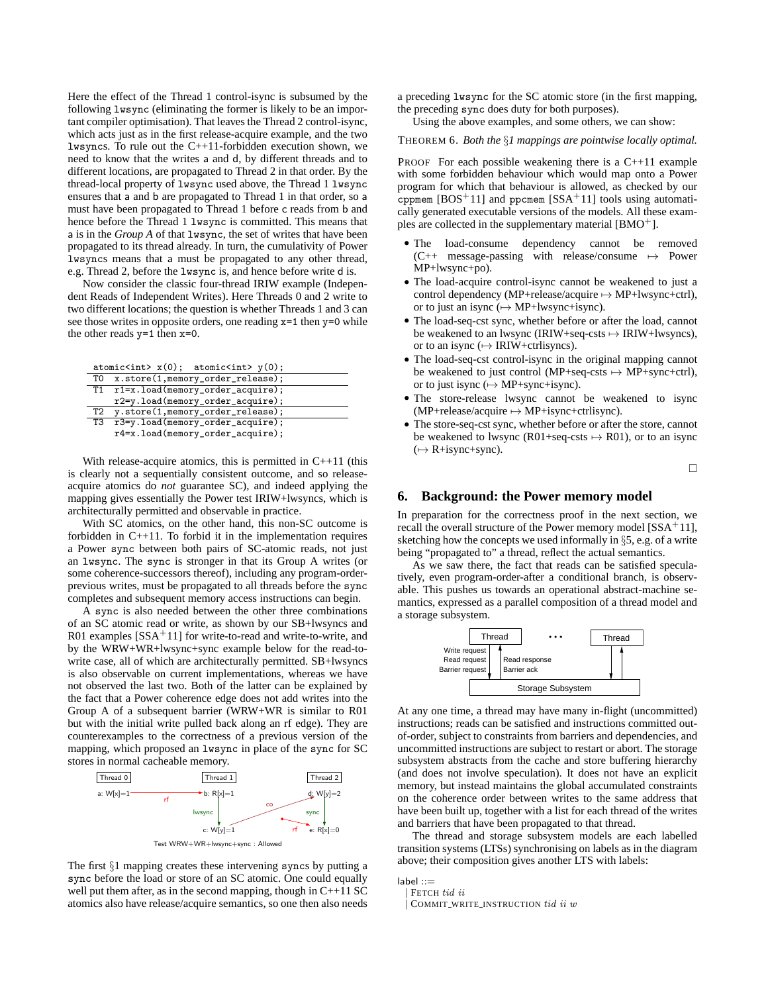Here the effect of the Thread 1 control-isync is subsumed by the following lwsync (eliminating the former is likely to be an important compiler optimisation). That leaves the Thread 2 control-isync, which acts just as in the first release-acquire example, and the two lwsyncs. To rule out the C++11-forbidden execution shown, we need to know that the writes a and d, by different threads and to different locations, are propagated to Thread 2 in that order. By the thread-local property of lwsync used above, the Thread 1 lwsync ensures that a and b are propagated to Thread 1 in that order, so a must have been propagated to Thread 1 before c reads from b and hence before the Thread 1 lwsync is committed. This means that a is in the *Group A* of that lwsync, the set of writes that have been propagated to its thread already. In turn, the cumulativity of Power lwsyncs means that a must be propagated to any other thread, e.g. Thread 2, before the lwsync is, and hence before write d is.

Now consider the classic four-thread IRIW example (Independent Reads of Independent Writes). Here Threads 0 and 2 write to two different locations; the question is whether Threads 1 and 3 can see those writes in opposite orders, one reading x=1 then y=0 while the other reads  $y=1$  then  $x=0$ .

| $atomic\times int$ x(0); $atomic\times int$ y(0); |
|---------------------------------------------------|
| TO x.store(1,memory_order_release);               |
| T1 r1=x.load(memory_order_acquire);               |
| r2=y.load(memory_order_acquire);                  |
| T2 y.store(1,memory_order_release);               |
| T3 r3=y.load(memory_order_acquire);               |
| r4=x.load(memory_order_acquire);                  |

With release-acquire atomics, this is permitted in  $C+11$  (this is clearly not a sequentially consistent outcome, and so releaseacquire atomics do *not* guarantee SC), and indeed applying the mapping gives essentially the Power test IRIW+lwsyncs, which is architecturally permitted and observable in practice.

With SC atomics, on the other hand, this non-SC outcome is forbidden in C++11. To forbid it in the implementation requires a Power sync between both pairs of SC-atomic reads, not just an lwsync. The sync is stronger in that its Group A writes (or some coherence-successors thereof), including any program-orderprevious writes, must be propagated to all threads before the sync completes and subsequent memory access instructions can begin.

A sync is also needed between the other three combinations of an SC atomic read or write, as shown by our SB+lwsyncs and R01 examples  $[SSA<sup>+</sup>11]$  for write-to-read and write-to-write, and by the WRW+WR+lwsync+sync example below for the read-towrite case, all of which are architecturally permitted. SB+lwsyncs is also observable on current implementations, whereas we have not observed the last two. Both of the latter can be explained by the fact that a Power coherence edge does not add writes into the Group A of a subsequent barrier (WRW+WR is similar to R01 but with the initial write pulled back along an rf edge). They are counterexamples to the correctness of a previous version of the mapping, which proposed an lwsync in place of the sync for SC stores in normal cacheable memory.



The first §1 mapping creates these intervening syncs by putting a sync before the load or store of an SC atomic. One could equally well put them after, as in the second mapping, though in C++11 SC atomics also have release/acquire semantics, so one then also needs a preceding lwsync for the SC atomic store (in the first mapping, the preceding sync does duty for both purposes).

Using the above examples, and some others, we can show:

THEOREM 6. *Both the* §*1 mappings are pointwise locally optimal.*

PROOF For each possible weakening there is a C++11 example with some forbidden behaviour which would map onto a Power program for which that behaviour is allowed, as checked by our cppmem  $[BOS^+11]$  and ppcmem  $[SSA^+11]$  tools using automatically generated executable versions of the models. All these examples are collected in the supplementary material  $[BMO^+]$ .

- The load-consume dependency cannot be removed  $(C++$  message-passing with release/consume  $\mapsto$  Power MP+lwsync+po).
- The load-acquire control-isync cannot be weakened to just a control dependency (MP+release/acquire  $\mapsto$  MP+lwsync+ctrl), or to just an isync  $(\rightarrow MP+lwsync+isync)$ .
- The load-seq-cst sync, whether before or after the load, cannot be weakened to an lwsync (IRIW+seq-csts  $\mapsto$  IRIW+lwsyncs), or to an isync  $(\rightarrow$  IRIW+ctrlisyncs).
- The load-seq-cst control-isync in the original mapping cannot be weakened to just control (MP+seq-csts  $\mapsto$  MP+sync+ctrl), or to just isync  $(\mapsto MP+sync+isync)$ .
- The store-release lwsync cannot be weakened to isync  $(MP+release/acquire \rightarrow MP+isync+ctrlisync).$
- The store-seq-cst sync, whether before or after the store, cannot be weakened to lwsync (R01+seq-csts  $\mapsto$  R01), or to an isync  $(\mapsto$  R+isync+sync).

 $\Box$ 

## **6. Background: the Power memory model**

In preparation for the correctness proof in the next section, we recall the overall structure of the Power memory model  $[SSA^+11]$ , sketching how the concepts we used informally in §5, e.g. of a write being "propagated to" a thread, reflect the actual semantics.

As we saw there, the fact that reads can be satisfied speculatively, even program-order-after a conditional branch, is observable. This pushes us towards an operational abstract-machine semantics, expressed as a parallel composition of a thread model and a storage subsystem.



At any one time, a thread may have many in-flight (uncommitted) instructions; reads can be satisfied and instructions committed outof-order, subject to constraints from barriers and dependencies, and uncommitted instructions are subject to restart or abort. The storage subsystem abstracts from the cache and store buffering hierarchy (and does not involve speculation). It does not have an explicit memory, but instead maintains the global accumulated constraints on the coherence order between writes to the same address that have been built up, together with a list for each thread of the writes and barriers that have been propagated to that thread.

The thread and storage subsystem models are each labelled transition systems (LTSs) synchronising on labels as in the diagram above; their composition gives another LTS with labels:

 $label:right}$ FETCH tid ii

COMMIT\_WRITE\_INSTRUCTION tid ii w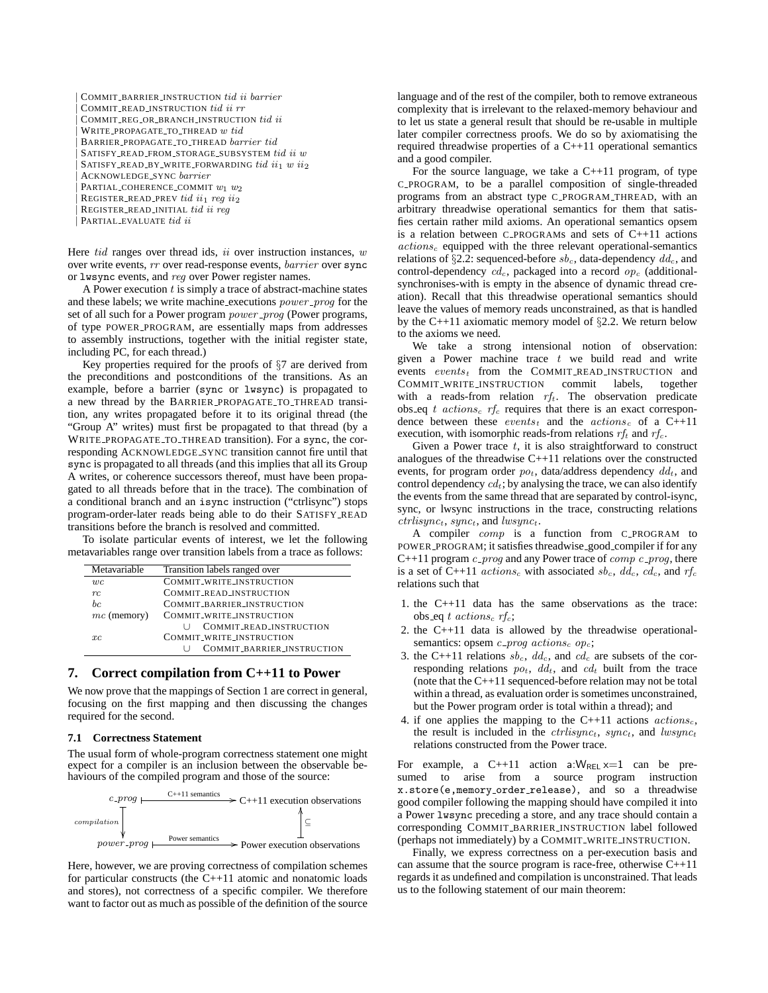COMMIT\_BARRIER\_INSTRUCTION tid ii barrier COMMIT\_READ\_INSTRUCTION tid ii rr COMMIT\_REG\_OR\_BRANCH\_INSTRUCTION tid ii  $\ensuremath{\text{WRITE\_PROPAGATE\_TO\_THREAD}}$   $\ensuremath{\textit{w}}\xspace$   $\ensuremath{\textit{tid}}\xspace$ BARRIER\_PROPAGATE\_TO\_THREAD barrier tid SATISFY\_READ\_FROM\_STORAGE\_SUBSYSTEM tid ii w SATISFY\_READ\_BY\_WRITE\_FORWARDING  $tid$   $ii_1$   $w$   $ii_2$ | ACKNOWLEDGE SYNC barrier PARTIAL\_COHERENCE\_COMMIT  $w_1$   $w_2$ REGISTER\_READ\_PREV  $tid$   $ii_1$  reg  $ii_2$ REGISTER\_READ\_INITIAL tid ii reg

PARTIAL\_EVALUATE tid ii

Here  $tid$  ranges over thread ids,  $ii$  over instruction instances,  $w$ over write events, rr over read-response events, barrier over sync or lwsync events, and reg over Power register names.

A Power execution  $t$  is simply a trace of abstract-machine states and these labels; we write machine executions power prog for the set of all such for a Power program *power\_prog* (Power programs, of type POWER PROGRAM, are essentially maps from addresses to assembly instructions, together with the initial register state, including PC, for each thread.)

Key properties required for the proofs of §7 are derived from the preconditions and postconditions of the transitions. As an example, before a barrier (sync or lwsync) is propagated to a new thread by the BARRIER PROPAGATE TO THREAD transition, any writes propagated before it to its original thread (the "Group A" writes) must first be propagated to that thread (by a WRITE PROPAGATE TO THREAD transition). For a sync, the corresponding ACKNOWLEDGE SYNC transition cannot fire until that sync is propagated to all threads (and this implies that all its Group A writes, or coherence successors thereof, must have been propagated to all threads before that in the trace). The combination of a conditional branch and an isync instruction ("ctrlisync") stops program-order-later reads being able to do their SATISFY READ transitions before the branch is resolved and committed.

To isolate particular events of interest, we let the following metavariables range over transition labels from a trace as follows:

| Metavariable   | Transition labels ranged over |
|----------------|-------------------------------|
| $\mathit{unc}$ | COMMIT_WRITE_INSTRUCTION      |
| rc             | COMMIT_READ_INSTRUCTION       |
| bc             | COMMIT BARRIER INSTRUCTION    |
| $mc$ (memory)  | COMMIT_WRITE_INSTRUCTION      |
|                | U COMMIT_READ_INSTRUCTION     |
| xc             | COMMIT_WRITE_INSTRUCTION      |
|                | COMMIT_BARRIER_INSTRUCTION    |

#### **7. Correct compilation from C++11 to Power**

We now prove that the mappings of Section 1 are correct in general, focusing on the first mapping and then discussing the changes required for the second.

#### **7.1 Correctness Statement**

The usual form of whole-program correctness statement one might expect for a compiler is an inclusion between the observable behaviours of the compiled program and those of the source:



Here, however, we are proving correctness of compilation schemes for particular constructs (the C++11 atomic and nonatomic loads and stores), not correctness of a specific compiler. We therefore want to factor out as much as possible of the definition of the source

language and of the rest of the compiler, both to remove extraneous complexity that is irrelevant to the relaxed-memory behaviour and to let us state a general result that should be re-usable in multiple later compiler correctness proofs. We do so by axiomatising the required threadwise properties of a C++11 operational semantics and a good compiler.

For the source language, we take a  $C+11$  program, of type C PROGRAM, to be a parallel composition of single-threaded programs from an abstract type C PROGRAM THREAD, with an arbitrary threadwise operational semantics for them that satisfies certain rather mild axioms. An operational semantics opsem is a relation between C PROGRAMs and sets of C++11 actions  $actions_c$  equipped with the three relevant operational-semantics relations of §2.2: sequenced-before  $sb_c$ , data-dependency  $dd_c$ , and control-dependency  $cd_c$ , packaged into a record  $op_c$  (additionalsynchronises-with is empty in the absence of dynamic thread creation). Recall that this threadwise operational semantics should leave the values of memory reads unconstrained, as that is handled by the C++11 axiomatic memory model of  $\S$ 2.2. We return below to the axioms we need.

We take a strong intensional notion of observation: given a Power machine trace  $t$  we build read and write events  $events_t$  from the COMMIT\_READ\_INSTRUCTION and COMMIT\_WRITE\_INSTRUCTION commit labels, together COMMIT WRITE INSTRUCTION commit labels, together with a reads-from relation  $rf_t$ . The observation predicate obs eq t  $actions_c$  requires that there is an exact correspondence between these  $events_t$  and the  $actions_c$  of a C++11 execution, with isomorphic reads-from relations  $rf_t$  and  $rf_c$ .

Given a Power trace  $t$ , it is also straightforward to construct analogues of the threadwise C++11 relations over the constructed events, for program order  $po_t$ , data/address dependency  $dd_t$ , and control dependency  $cd_t$ ; by analysing the trace, we can also identify the events from the same thread that are separated by control-isync, sync, or lwsync instructions in the trace, constructing relations  $ctrlisync_t$ , sync<sub>t</sub>, and  $lwsync_t$ .

A compiler comp is a function from C PROGRAM to POWER\_PROGRAM; it satisfies threadwise\_good\_compiler if for any C++11 program  $c$ -prog and any Power trace of  $comp$   $c$ -prog, there is a set of C++11 *actions<sub>c</sub>* with associated sb<sub>c</sub>,  $dd_c$ ,  $cd_c$ , and rf<sub>c</sub> relations such that

- 1. the C++11 data has the same observations as the trace: obs\_eq t  $actions_c$  rf<sub>c</sub>;
- 2. the C++11 data is allowed by the threadwise operationalsemantics: opsem  $c$ -prog actions<sub>c</sub> op<sub>c</sub>;
- 3. the C++11 relations  $sb_c$ ,  $dd_c$ , and  $cd_c$  are subsets of the corresponding relations  $po_t$ ,  $dd_t$ , and  $cd_t$  built from the trace (note that the C++11 sequenced-before relation may not be total within a thread, as evaluation order is sometimes unconstrained, but the Power program order is total within a thread); and
- 4. if one applies the mapping to the C++11 actions  $actions<sub>c</sub>$ , the result is included in the  $ctrlisync_t$ , sync<sub>t</sub>, and lwsync<sub>t</sub> relations constructed from the Power trace.

For example, a  $C+11$  action a:  $W_{REL}$  x=1 can be presumed to arise from a source program instruction x.store(e,memory order release), and so a threadwise good compiler following the mapping should have compiled it into a Power lwsync preceding a store, and any trace should contain a corresponding COMMIT BARRIER INSTRUCTION label followed (perhaps not immediately) by a COMMIT WRITE INSTRUCTION.

Finally, we express correctness on a per-execution basis and can assume that the source program is race-free, otherwise C++11 regards it as undefined and compilation is unconstrained. That leads us to the following statement of our main theorem: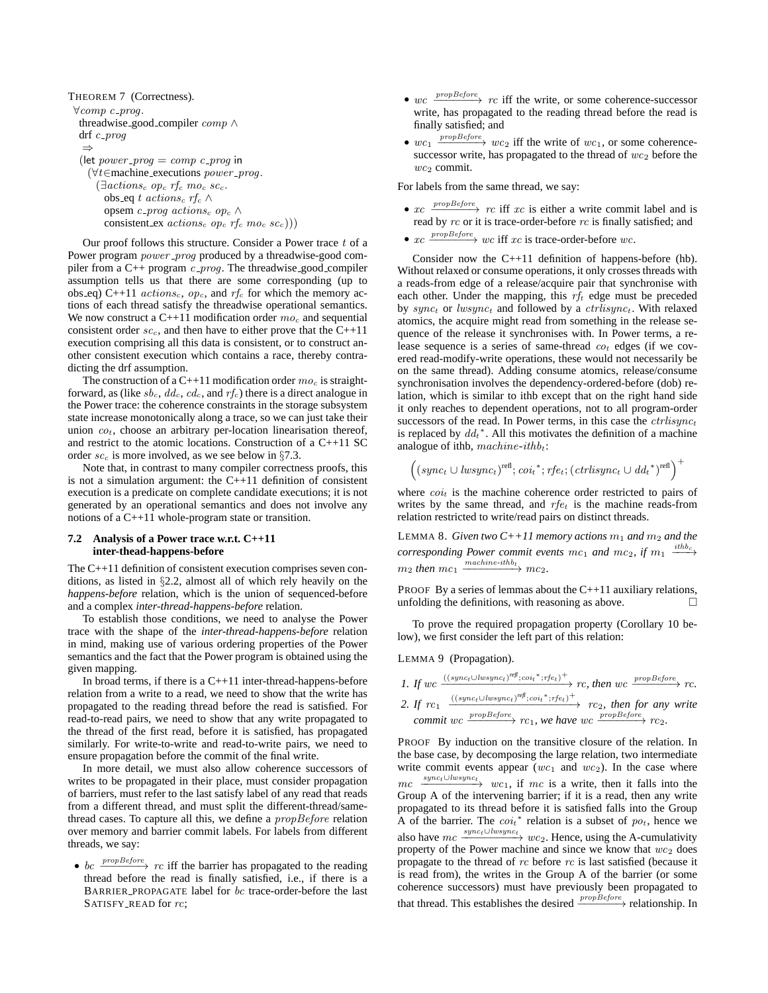THEOREM 7 (Correctness).  $\forall comp \ c_{\text{prog}}.$ threadwise good compiler comp ∧ drf c\_proq ⇒ (let *power\_prog* =  $comp \ c$ -prog in (∀t∈machine executions power\_prog.  $(∃actions_c op_c rf_c mo_c sc_c)$ . obs\_eq t actions<sub>c</sub> rf<sub>c</sub>  $\wedge$ opsem c\_prog actions<sub>c</sub> op<sub>c</sub>  $\wedge$ consistent ex  $actions_c$  op<sub>c</sub>  $rf_c$  mo<sub>c</sub>  $sc_c$ )))

Our proof follows this structure. Consider a Power trace  $t$  of a Power program  $power\_prog$  produced by a threadwise-good compiler from a  $C_{++}$  program  $c_{-}$ *prog*. The threadwise-good-compiler assumption tells us that there are some corresponding (up to obs eq) C++11  $actions_c$ ,  $op_c$ , and  $rf_c$  for which the memory actions of each thread satisfy the threadwise operational semantics. We now construct a C++11 modification order  $mo<sub>c</sub>$  and sequential consistent order  $sc_c$ , and then have to either prove that the C++11 execution comprising all this data is consistent, or to construct another consistent execution which contains a race, thereby contradicting the drf assumption.

The construction of a C++11 modification order  $mo_c$  is straightforward, as (like  $sb_c$ ,  $dd_c$ ,  $cd_c$ , and  $rf_c$ ) there is a direct analogue in the Power trace: the coherence constraints in the storage subsystem state increase monotonically along a trace, so we can just take their union  $co<sub>t</sub>$ , choose an arbitrary per-location linearisation thereof, and restrict to the atomic locations. Construction of a C++11 SC order  $sc_c$  is more involved, as we see below in §7.3.

Note that, in contrast to many compiler correctness proofs, this is not a simulation argument: the C++11 definition of consistent execution is a predicate on complete candidate executions; it is not generated by an operational semantics and does not involve any notions of a C++11 whole-program state or transition.

#### **7.2 Analysis of a Power trace w.r.t. C++11 inter-thead-happens-before**

The C++11 definition of consistent execution comprises seven conditions, as listed in §2.2, almost all of which rely heavily on the *happens-before* relation, which is the union of sequenced-before and a complex *inter-thread-happens-before* relation.

To establish those conditions, we need to analyse the Power trace with the shape of the *inter-thread-happens-before* relation in mind, making use of various ordering properties of the Power semantics and the fact that the Power program is obtained using the given mapping.

In broad terms, if there is a  $C+11$  inter-thread-happens-before relation from a write to a read, we need to show that the write has propagated to the reading thread before the read is satisfied. For read-to-read pairs, we need to show that any write propagated to the thread of the first read, before it is satisfied, has propagated similarly. For write-to-write and read-to-write pairs, we need to ensure propagation before the commit of the final write.

In more detail, we must also allow coherence successors of writes to be propagated in their place, must consider propagation of barriers, must refer to the last satisfy label of any read that reads from a different thread, and must split the different-thread/samethread cases. To capture all this, we define a *propBefore* relation over memory and barrier commit labels. For labels from different threads, we say:

• bc  $\frac{propBefore}{\longrightarrow}$  rc iff the barrier has propagated to the reading thread before the read is finally satisfied, i.e., if there is a BARRIER PROPAGATE label for bc trace-order-before the last SATISFY\_READ for rc;

- wc  $\frac{propBefore}{1}$  rc iff the write, or some coherence-successor write, has propagated to the reading thread before the read is finally satisfied; and
- $wc_1 \xrightarrow{propBefore} wc_2$  iff the write of  $wc_1$ , or some coherencesuccessor write, has propagated to the thread of  $wc<sub>2</sub>$  before the  $wc<sub>2</sub>$  commit.

For labels from the same thread, we say:

- $xc \xrightarrow{propBefore} rc$  iff  $xc$  is either a write commit label and is read by rc or it is trace-order-before rc is finally satisfied; and
- $xc \xrightarrow{propBefore} wc$  iff  $xc$  is trace-order-before  $wc$ .

Consider now the C++11 definition of happens-before (hb). Without relaxed or consume operations, it only crosses threads with a reads-from edge of a release/acquire pair that synchronise with each other. Under the mapping, this  $rf_t$  edge must be preceded by  $sync<sub>t</sub>$  or  $lwsync<sub>t</sub>$  and followed by a  $ctrlisync<sub>t</sub>$ . With relaxed atomics, the acquire might read from something in the release sequence of the release it synchronises with. In Power terms, a release sequence is a series of same-thread  $\cos$  edges (if we covered read-modify-write operations, these would not necessarily be on the same thread). Adding consume atomics, release/consume synchronisation involves the dependency-ordered-before (dob) relation, which is similar to ithb except that on the right hand side it only reaches to dependent operations, not to all program-order successors of the read. In Power terms, in this case the  $ctrlisync_t$ is replaced by  $dd_t^*$ . All this motivates the definition of a machine analogue of ithb,  $machine\text{-}ithb_t$ :

 $((sync_t \cup lwsync_t)^{\text{refl}}; coi_t^*; rfe_t; (ctrlisync_t \cup dd_t^*)^{\text{refl}})^+$ 

where  $\cos t$  is the machine coherence order restricted to pairs of writes by the same thread, and  $rfe_t$  is the machine reads-from relation restricted to write/read pairs on distinct threads.

LEMMA 8. *Given two C++11 memory actions*  $m_1$  *and*  $m_2$  *and the*  $corresponding$  Power commit events  $mc_1$  and  $mc_2$ , if  $m_1 \xrightarrow{ithb_c}$  $m_2$  then  $mc_1 \xrightarrow{machine-ithb_t} mc_2$ .

PROOF By a series of lemmas about the C++11 auxiliary relations, unfolding the definitions, with reasoning as above.  $\Box$ 

To prove the required propagation property (Corollary 10 below), we first consider the left part of this relation:

LEMMA 9 (Propagation).

- $1.$  If wc  $\xrightarrow{((sync_t \cup lwsync_t)^{refl}; coi_t^*; rfe_t)^+} rc$ , then wc  $\xrightarrow{propBefore} rc$ .
- 2. If  $rc_1$   $\xrightarrow{((sync_t \cup lwsync_t)^{ref}; coi_t^*, rfe_t)^+}$   $rc_2$ , then for any write  $\textit{commit we} \xrightarrow{\textit{propBefore}} rc_1, \textit{we have we} \xrightarrow{\textit{propBefore}} rc_2.$

PROOF By induction on the transitive closure of the relation. In the base case, by decomposing the large relation, two intermediate write commit events appear ( $wc_1$  and  $wc_2$ ). In the case where  $mc \xrightarrow{sync_t \cup lwsync_t} wc_1$ , if mc is a write, then it falls into the Group A of the intervening barrier; if it is a read, then any write propagated to its thread before it is satisfied falls into the Group A of the barrier. The  $\omega i_t^*$  relation is a subset of  $po_t$ , hence we also have  $mc \xrightarrow{sync_t \cup lwsync_t}{wc_2}$ . Hence, using the A-cumulativity property of the Power machine and since we know that  $wc<sub>2</sub>$  does propagate to the thread of  $rc$  before  $rc$  is last satisfied (because it is read from), the writes in the Group A of the barrier (or some coherence successors) must have previously been propagated to that thread. This establishes the desired  $\frac{propBefore}{propBefore}$  relationship. In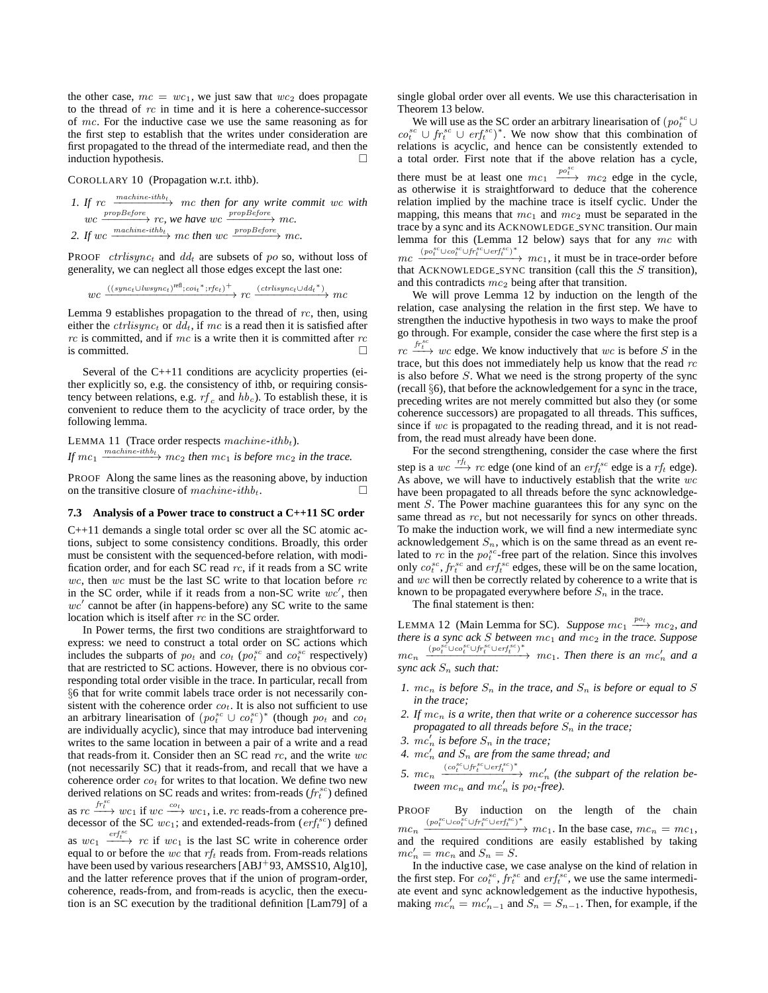the other case,  $mc = wc_1$ , we just saw that  $wc_2$  does propagate to the thread of  $rc$  in time and it is here a coherence-successor of mc. For the inductive case we use the same reasoning as for the first step to establish that the writes under consideration are first propagated to the thread of the intermediate read, and then the induction hypothesis.

COROLLARY 10 (Propagation w.r.t. ithb).

\n- 1. If 
$$
rc \xrightarrow{machine\text{-}ithbt} mc
$$
 then for any write commit we with  $wc \xrightarrow{propBefore} rc$ , we have  $wc \xrightarrow{propBefore} mc$ .
\n- 2. If  $wc \xrightarrow{machine\text{-}ithbt} mc$  then  $wc \xrightarrow{propBefore} mc$ .
\n

PROOF *ctrlisync<sub>t</sub>* and  $dd<sub>t</sub>$  are subsets of po so, without loss of generality, we can neglect all those edges except the last one:

$$
wc \xrightarrow{((sync_t \cup lwsync_t)^{\text{refl}}; coi_t^*; rfe_t)^+} rc \xrightarrow{(ctrlisync_t \cup dd_t^*)} mc
$$

Lemma 9 establishes propagation to the thread of  $rc$ , then, using either the ctrlisync<sub>t</sub> or  $dd_t$ , if mc is a read then it is satisfied after  $rc$  is committed, and if  $mc$  is a write then it is committed after  $rc$ is committed.

Several of the C++11 conditions are acyclicity properties (either explicitly so, e.g. the consistency of ithb, or requiring consistency between relations, e.g.  $rf_c$  and  $hb_c$ ). To establish these, it is convenient to reduce them to the acyclicity of trace order, by the following lemma.

LEMMA 11 (Trace order respects  $machine\text{-}ithb_t$ ). *If*  $mc_1 \xrightarrow{machine-ithb_t} mc_2$  *then*  $mc_1$  *is before*  $mc_2$  *in the trace.* 

PROOF Along the same lines as the reasoning above, by induction on the transitive closure of machine-ith $b_t$ .

#### **7.3 Analysis of a Power trace to construct a C++11 SC order**

C++11 demands a single total order sc over all the SC atomic actions, subject to some consistency conditions. Broadly, this order must be consistent with the sequenced-before relation, with modification order, and for each SC read rc, if it reads from a SC write  $wc$ , then  $wc$  must be the last SC write to that location before  $rc$ in the SC order, while if it reads from a non-SC write wc′ , then wc' cannot be after (in happens-before) any SC write to the same location which is itself after rc in the SC order.

In Power terms, the first two conditions are straightforward to express: we need to construct a total order on SC actions which includes the subparts of  $po_t$  and  $co_t$  ( $po_t^{sc}$  and  $co_t^{sc}$  respectively) that are restricted to SC actions. However, there is no obvious corresponding total order visible in the trace. In particular, recall from §6 that for write commit labels trace order is not necessarily consistent with the coherence order  $co_t$ . It is also not sufficient to use an arbitrary linearisation of  $(po_t^{sc} \cup co_t^{sc})^*$  (though  $po_t$  and  $co_t$ are individually acyclic), since that may introduce bad intervening writes to the same location in between a pair of a write and a read that reads-from it. Consider then an SC read  $rc$ , and the write  $wc$ (not necessarily SC) that it reads-from, and recall that we have a coherence order  $co<sub>t</sub>$  for writes to that location. We define two new derived relations on SC reads and writes: from-reads  $(f r_t^{sc})$  defined as  $rc \xrightarrow{fr_t^{sc}} wc_1$  if  $wc \xrightarrow{co_t} wc_1$ , i.e.  $rc$  reads-from a coherence predecessor of the SC  $wc_1$ ; and extended-reads-from  $(erf_t^{sc})$  defined as  $wc_1 \xrightarrow{erf_t^{sc}} rc$  if  $wc_1$  is the last SC write in coherence order equal to or before the wc that  $rf_t$  reads from. From-reads relations have been used by various researchers [ABJ<sup>+</sup>93, AMSS10, Alg10], and the latter reference proves that if the union of program-order, coherence, reads-from, and from-reads is acyclic, then the execution is an SC execution by the traditional definition [Lam79] of a single global order over all events. We use this characterisation in Theorem 13 below.

We will use as the SC order an arbitrary linearisation of  $(po_t^{sc} \cup$  $co_t^{sc} \cup fr_t^{sc} \cup erf_t^{sc}$ . We now show that this combination of relations is acyclic, and hence can be consistently extended to a total order. First note that if the above relation has a cycle, there must be at least one  $mc_1 \xrightarrow{po^{sc}_{t}} mc_2$  edge in the cycle, as otherwise it is straightforward to deduce that the coherence relation implied by the machine trace is itself cyclic. Under the mapping, this means that  $mc_1$  and  $mc_2$  must be separated in the trace by a sync and its ACKNOWLEDGE SYNC transition. Our main lemma for this (Lemma 12 below) says that for any mc with  $mc \xrightarrow{(po_1^{sc} \cup co_1^{sc} \cup fr_1^{sc} \cup erf_1^{sc})^*} mc_1$ , it must be in trace-order before that ACKNOWLEDGE SYNC transition (call this the  $S$  transition), and this contradicts  $mc_2$  being after that transition.

We will prove Lemma 12 by induction on the length of the relation, case analysing the relation in the first step. We have to strengthen the inductive hypothesis in two ways to make the proof go through. For example, consider the case where the first step is a  $r c \xrightarrow{fr_{t}^{sc}} wc$  edge. We know inductively that wc is before S in the trace, but this does not immediately help us know that the read  $rc$ is also before S. What we need is the strong property of the sync (recall §6), that before the acknowledgement for a sync in the trace, preceding writes are not merely committed but also they (or some coherence successors) are propagated to all threads. This suffices, since if wc is propagated to the reading thread, and it is not readfrom, the read must already have been done.

For the second strengthening, consider the case where the first step is a wc  $\frac{rf_t}{\longrightarrow}$  rc edge (one kind of an  $erf_t^{sc}$  edge is a rf<sub>t</sub> edge). As above, we will have to inductively establish that the write wc have been propagated to all threads before the sync acknowledgement S. The Power machine guarantees this for any sync on the same thread as rc, but not necessarily for syncs on other threads. To make the induction work, we will find a new intermediate sync acknowledgement  $S_n$ , which is on the same thread as an event related to rc in the  $po<sub>t</sub><sup>sc</sup>$ -free part of the relation. Since this involves only  $co<sub>t</sub><sup>sc</sup>, fr<sub>t</sub><sup>sc</sup>$  and  $erf<sub>t</sub><sup>sc</sup>$  edges, these will be on the same location, and wc will then be correctly related by coherence to a write that is known to be propagated everywhere before  $S_n$  in the trace.

The final statement is then:

LEMMA 12 (Main Lemma for SC). Suppose  $mc_1 \stackrel{po_t}{\longrightarrow} mc_2$ , and *there is a sync ack S between*  $mc_1$  *and*  $mc_2$  *in the trace. Suppose*  $mc_n \xrightarrow{(po_i^{sc} \cup co_i^{sc} \cup fr_i^{sc} \cup erf_i^{sc})^*} mc_1$ . Then there is an  $mc'_n$  and a *sync ack*  $S_n$  *such that:* 

- *1.*  $mc_n$  *is before*  $S_n$  *in the trace, and*  $S_n$  *is before or equal to*  $S$ *in the trace;*
- 2. If  $mc_n$  *is a write, then that write or a coherence successor has propagated to all threads before*  $S_n$  *in the trace;*
- 3.  $mc'_n$  *is before*  $S_n$  *in the trace*;
- 4.  $mc'_n$  and  $S_n$  are from the same thread; and
- $5.$   $mc_n \xrightarrow{(co_i^{sc} \cup fr_i^{sc} \cup erf_i^{sc})^*} mc'_n$  (the subpart of the relation be*tween*  $mc_n$  *and*  $mc'_n$  *is*  $po_t$ -*free*).

PROOF By induction on the length of the chain  $mc_n \xrightarrow{(po_1^{sc} \cup co_t^{sc} \cup fr_t^{sc} \cup erf_t^{sc})^*} mc_1$ . In the base case,  $mc_n = mc_1$ , and the required conditions are easily established by taking  $mc'_n = mc_n$  and  $S_n = S$ .

In the inductive case, we case analyse on the kind of relation in the first step. For  $co_t^{sc}$ ,  $fr_t^{sc}$  and  $erf_t^{sc}$ , we use the same intermediate event and sync acknowledgement as the inductive hypothesis, making  $mc'_n = mc'_{n-1}$  and  $S_n = S_{n-1}$ . Then, for example, if the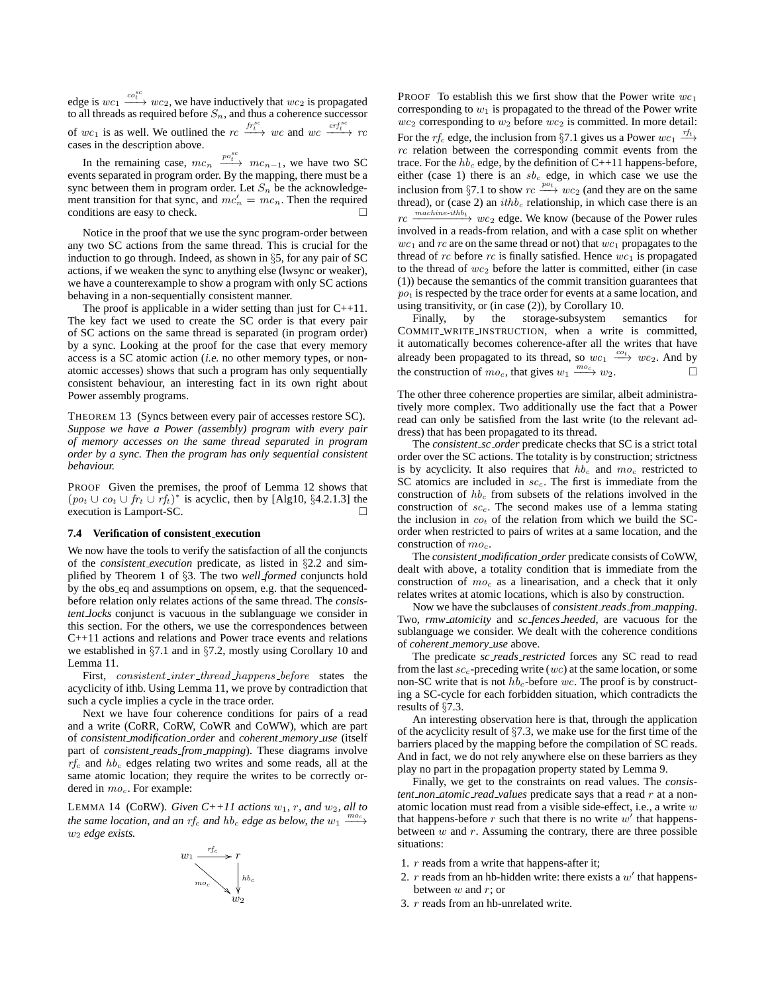edge is  $wc_1 \xrightarrow{co_i^{sc}} wc_2$ , we have inductively that  $wc_2$  is propagated to all threads as required before  $S_n$ , and thus a coherence successor of wc<sub>1</sub> is as well. We outlined the  $rc \xrightarrow{fr_{t}^{sc}} wc$  and  $wc \xrightarrow{erf_{t}^{sc}} rc$ cases in the description above.

In the remaining case,  $mc_n \xrightarrow{po^{sc}_{t}} mc_{n-1}$ , we have two SC events separated in program order. By the mapping, there must be a sync between them in program order. Let  $S_n$  be the acknowledgement transition for that sync, and  $mc'_n = mc_n$ . Then the required conditions are easy to check.

Notice in the proof that we use the sync program-order between any two SC actions from the same thread. This is crucial for the induction to go through. Indeed, as shown in §5, for any pair of SC actions, if we weaken the sync to anything else (lwsync or weaker), we have a counterexample to show a program with only SC actions behaving in a non-sequentially consistent manner.

The proof is applicable in a wider setting than just for  $C+11$ . The key fact we used to create the SC order is that every pair of SC actions on the same thread is separated (in program order) by a sync. Looking at the proof for the case that every memory access is a SC atomic action (i.e. no other memory types, or nonatomic accesses) shows that such a program has only sequentially consistent behaviour, an interesting fact in its own right about Power assembly programs.

THEOREM 13 (Syncs between every pair of accesses restore SC). *Suppose we have a Power (assembly) program with every pair of memory accesses on the same thread separated in program order by a sync. Then the program has only sequential consistent behaviour.*

PROOF Given the premises, the proof of Lemma 12 shows that  $(po_t \cup co_t \cup fr_t \cup rf_t)^*$  is acyclic, then by [Alg10, §4.2.1.3] the execution is Lamport-SC.

#### **7.4 Verification of consistent execution**

We now have the tools to verify the satisfaction of all the conjuncts of the *consistent execution* predicate, as listed in §2.2 and simplified by Theorem 1 of §3. The two *well formed* conjuncts hold by the obs eq and assumptions on opsem, e.g. that the sequencedbefore relation only relates actions of the same thread. The *consistent locks* conjunct is vacuous in the sublanguage we consider in this section. For the others, we use the correspondences between C++11 actions and relations and Power trace events and relations we established in §7.1 and in §7.2, mostly using Corollary 10 and Lemma 11.

First, consistent\_inter\_thread\_happens\_before states the acyclicity of ithb. Using Lemma 11, we prove by contradiction that such a cycle implies a cycle in the trace order.

Next we have four coherence conditions for pairs of a read and a write (CoRR, CoRW, CoWR and CoWW), which are part of *consistent modification order* and *coherent memory use* (itself part of *consistent reads from mapping*). These diagrams involve  $rf_c$  and  $hb_c$  edges relating two writes and some reads, all at the same atomic location; they require the writes to be correctly ordered in  $mo<sub>c</sub>$ . For example:

LEMMA 14 (CoRW). *Given*  $C++11$  *actions*  $w_1$ *, r, and*  $w_2$ *, all to the same location, and an rf<sub>c</sub> and hb<sub>c</sub> edge as below, the*  $w_1 \xrightarrow{m o_c}$ w<sup>2</sup> *edge exists.*



PROOF To establish this we first show that the Power write  $wc_1$ corresponding to  $w_1$  is propagated to the thread of the Power write  $wc_2$  corresponding to  $w_2$  before  $wc_2$  is committed. In more detail:

For the  $rf_c$  edge, the inclusion from §7.1 gives us a Power  $wc_1 \stackrel{rf_t}{\longrightarrow}$  $rc$  relation between the corresponding commit events from the trace. For the  $hb_c$  edge, by the definition of C++11 happens-before, either (case 1) there is an  $sb_c$  edge, in which case we use the inclusion from §7.1 to show  $rc \stackrel{pot}{\longrightarrow} wc_2$  (and they are on the same thread), or (case 2) an  $ithb_c$  relationship, in which case there is an  $rc \xrightarrow{machine-ithb_t} wc_2$  edge. We know (because of the Power rules involved in a reads-from relation, and with a case split on whether  $wc_1$  and rc are on the same thread or not) that  $wc_1$  propagates to the thread of rc before rc is finally satisfied. Hence  $wc_1$  is propagated to the thread of  $wc<sub>2</sub>$  before the latter is committed, either (in case (1)) because the semantics of the commit transition guarantees that  $po<sub>t</sub>$  is respected by the trace order for events at a same location, and using transitivity, or (in case (2)), by Corollary 10.

Finally, by the storage-subsystem semantics for COMMIT WRITE INSTRUCTION, when a write is committed, it automatically becomes coherence-after all the writes that have already been propagated to its thread, so  $wc_1 \xrightarrow{co_t} wc_2$ . And by the construction of  $mo_c$ , that gives  $w_1 \xrightarrow{m o_c} w_2$ .

The other three coherence properties are similar, albeit administratively more complex. Two additionally use the fact that a Power read can only be satisfied from the last write (to the relevant address) that has been propagated to its thread.

The *consistent sc order* predicate checks that SC is a strict total order over the SC actions. The totality is by construction; strictness is by acyclicity. It also requires that  $hb_c$  and  $mo_c$  restricted to SC atomics are included in  $sc<sub>c</sub>$ . The first is immediate from the construction of  $hb_c$  from subsets of the relations involved in the construction of  $sc_c$ . The second makes use of a lemma stating the inclusion in  $co<sub>t</sub>$  of the relation from which we build the SCorder when restricted to pairs of writes at a same location, and the construction of  $mo<sub>c</sub>$ .

The *consistent modification order* predicate consists of CoWW, dealt with above, a totality condition that is immediate from the construction of  $mo<sub>c</sub>$  as a linearisation, and a check that it only relates writes at atomic locations, which is also by construction.

Now we have the subclauses of *consistent reads from mapping*. Two, *rmw atomicity* and *sc fences heeded*, are vacuous for the sublanguage we consider. We dealt with the coherence conditions of *coherent memory use* above.

The predicate *sc reads restricted* forces any SC read to read from the last  $sc_c$ -preceding write (wc) at the same location, or some non-SC write that is not  $hb_c$ -before wc. The proof is by constructing a SC-cycle for each forbidden situation, which contradicts the results of §7.3.

An interesting observation here is that, through the application of the acyclicity result of §7.3, we make use for the first time of the barriers placed by the mapping before the compilation of SC reads. And in fact, we do not rely anywhere else on these barriers as they play no part in the propagation property stated by Lemma 9.

Finally, we get to the constraints on read values. The *consistent\_non\_atomic\_read\_values* predicate says that a read r at a nonatomic location must read from a visible side-effect, i.e., a write  $w$ that happens-before r such that there is no write  $w'$  that happensbetween  $w$  and  $r$ . Assuming the contrary, there are three possible situations:

- 1.  $r$  reads from a write that happens-after it;
- 2.  $r$  reads from an hb-hidden write: there exists a  $w'$  that happensbetween  $w$  and  $r$ ; or
- 3. r reads from an hb-unrelated write.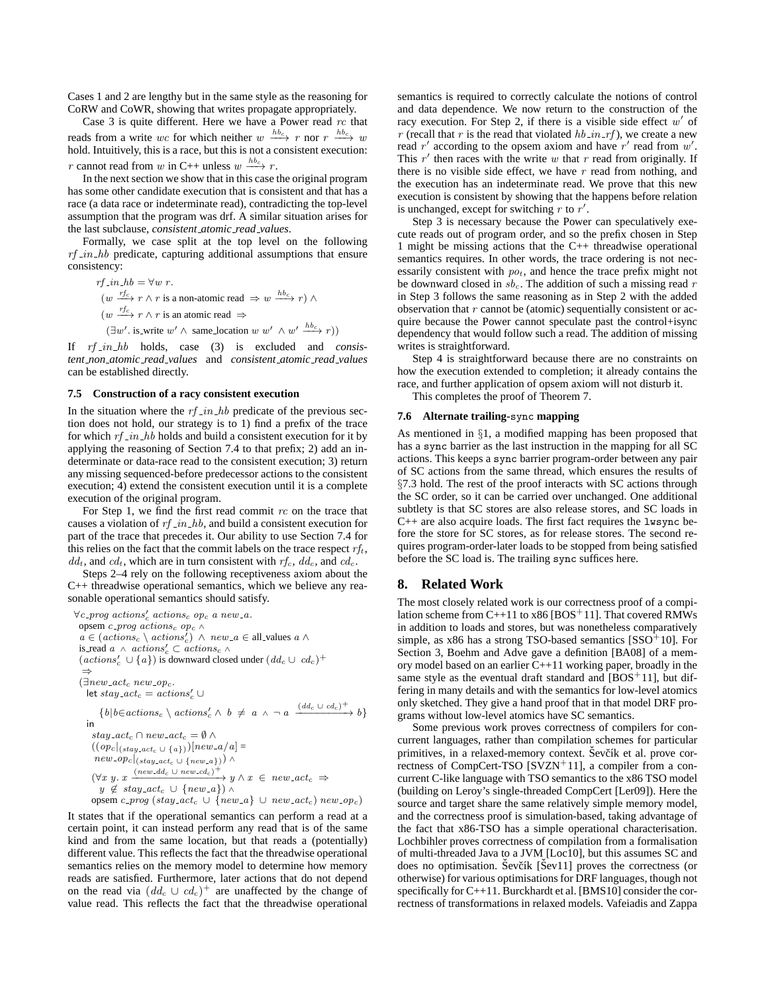Cases 1 and 2 are lengthy but in the same style as the reasoning for CoRW and CoWR, showing that writes propagate appropriately.

Case 3 is quite different. Here we have a Power read  $rc$  that reads from a write wc for which neither  $w \xrightarrow{h b_c} r$  nor  $r \xrightarrow{h b_c} w$ hold. Intuitively, this is a race, but this is not a consistent execution: r cannot read from w in C++ unless  $w \xrightarrow{h b_c} r$ .

In the next section we show that in this case the original program has some other candidate execution that is consistent and that has a race (a data race or indeterminate read), contradicting the top-level assumption that the program was drf. A similar situation arises for the last subclause, *consistent atomic read values*.

Formally, we case split at the top level on the following  $rf_{in\_hb}$  predicate, capturing additional assumptions that ensure consistency:

$$
\begin{aligned}\n& rf\_\text{in.hb} = \forall w\ r. \\
& (w\ \frac{rf_c}{r} \ r \land r \text{ is a non-atomic read} \Rightarrow w\ \frac{hb_c}{r} \ r) \land \\
& (w\ \frac{rf_c}{r} \ r \land r \text{ is an atomic read} \Rightarrow \\
& (\exists w'.\ \text{is\_write}\ w' \land \text{same\_location}\ w\ w' \land w'\ \frac{hb_c}{r}))\n\end{aligned}
$$

If rf in hb holds, case (3) is excluded and *consistent non atomic read values* and *consistent atomic read values* can be established directly.

#### **7.5 Construction of a racy consistent execution**

In the situation where the  $rf_{in\_hb}$  predicate of the previous section does not hold, our strategy is to 1) find a prefix of the trace for which  $rf_{in\_hb}$  holds and build a consistent execution for it by applying the reasoning of Section 7.4 to that prefix; 2) add an indeterminate or data-race read to the consistent execution; 3) return any missing sequenced-before predecessor actions to the consistent execution; 4) extend the consistent execution until it is a complete execution of the original program.

For Step 1, we find the first read commit  $rc$  on the trace that causes a violation of  $rf_{in\_hb}$ , and build a consistent execution for part of the trace that precedes it. Our ability to use Section 7.4 for this relies on the fact that the commit labels on the trace respect  $rf_t$ ,  $dd_t$ , and  $cd_t$ , which are in turn consistent with  $rf_c$ ,  $dd_c$ , and  $cd_c$ .

Steps 2–4 rely on the following receptiveness axiom about the C++ threadwise operational semantics, which we believe any reasonable operational semantics should satisfy.

```
\forall c-prog actions' actions<sub>c</sub> op<sub>c</sub> a new<sub>-</sub>a.
 opsem c_prog actions<sub>c</sub> op<sub>c</sub> \wedgea \in (actions_c \setminus actions_c') \land new_a \in all_values a \land ...is_read a \wedge actions'_c \subset actions_c \wedge(\text{actions}_c' \cup \{a\}) is downward closed under (\text{dd}_c \cup \text{cd}_c)^+⇒
 (\exists new\_act_c new\_op_c.let stay\_act_c = actions'_c \cup\{b | b \in actions_c \setminus actions'_c \land b \neq a \land \neg a \xrightarrow{(dd_c \cup cd_c)^+} b\}in
     stay_act<sub>c</sub> ∩ new_act<sub>c</sub> = \emptyset ∧
      ((\mathit{op}_c|_{(\mathit{stay}\textit{.act}_c\;\cup\;\{a\})})[\mathit{new}\textit{.a}/a] =new\_op_c|_{(stay\_act_c \cup \{new_a\})}) \wedge(\forall x \ y. x \xrightarrow{(new\_dd_c \cup new\_cd_c)} y \land x \in new\_act_c \Rightarrowy \notin stay\_act_c \cup \{new\_a\}) \wedgeopsem c_prog (stay_act<sub>c</sub> ∪ {new_a} ∪ new_act<sub>c</sub>) new_op<sub>c</sub>)
```
It states that if the operational semantics can perform a read at a certain point, it can instead perform any read that is of the same kind and from the same location, but that reads a (potentially) different value. This reflects the fact that the threadwise operational semantics relies on the memory model to determine how memory reads are satisfied. Furthermore, later actions that do not depend on the read via  $(dd_c \cup cd_c)^+$  are unaffected by the change of value read. This reflects the fact that the threadwise operational

semantics is required to correctly calculate the notions of control and data dependence. We now return to the construction of the racy execution. For Step 2, if there is a visible side effect  $w'$  of r (recall that r is the read that violated  $hb_in\_rf$ ), we create a new read  $r'$  according to the opsem axiom and have  $r'$  read from  $w'$ . This  $r'$  then races with the write w that  $r$  read from originally. If there is no visible side effect, we have  $r$  read from nothing, and the execution has an indeterminate read. We prove that this new execution is consistent by showing that the happens before relation is unchanged, except for switching  $r$  to  $r'$ .

Step 3 is necessary because the Power can speculatively execute reads out of program order, and so the prefix chosen in Step 1 might be missing actions that the C++ threadwise operational semantics requires. In other words, the trace ordering is not necessarily consistent with  $po<sub>t</sub>$ , and hence the trace prefix might not be downward closed in  $sb<sub>c</sub>$ . The addition of such a missing read r in Step 3 follows the same reasoning as in Step 2 with the added observation that  $r$  cannot be (atomic) sequentially consistent or acquire because the Power cannot speculate past the control+isync dependency that would follow such a read. The addition of missing writes is straightforward.

Step 4 is straightforward because there are no constraints on how the execution extended to completion; it already contains the race, and further application of opsem axiom will not disturb it.

This completes the proof of Theorem 7.

## **7.6 Alternate trailing-**sync **mapping**

As mentioned in §1, a modified mapping has been proposed that has a sync barrier as the last instruction in the mapping for all SC actions. This keeps a sync barrier program-order between any pair of SC actions from the same thread, which ensures the results of §7.3 hold. The rest of the proof interacts with SC actions through the SC order, so it can be carried over unchanged. One additional subtlety is that SC stores are also release stores, and SC loads in C++ are also acquire loads. The first fact requires the lwsync before the store for SC stores, as for release stores. The second requires program-order-later loads to be stopped from being satisfied before the SC load is. The trailing sync suffices here.

## **8. Related Work**

The most closely related work is our correctness proof of a compilation scheme from  $C+11$  to x86 [BOS<sup>+</sup>11]. That covered RMWs in addition to loads and stores, but was nonetheless comparatively simple, as x86 has a strong TSO-based semantics  $[SSO<sup>+</sup>10]$ . For Section 3, Boehm and Adve gave a definition [BA08] of a memory model based on an earlier C++11 working paper, broadly in the same style as the eventual draft standard and  $[BOS^+11]$ , but differing in many details and with the semantics for low-level atomics only sketched. They give a hand proof that in that model DRF programs without low-level atomics have SC semantics.

Some previous work proves correctness of compilers for concurrent languages, rather than compilation schemes for particular primitives, in a relaxed-memory context. Sevčík et al. prove correctness of CompCert-TSO [SVZN<sup>+</sup>11], a compiler from a concurrent C-like language with TSO semantics to the x86 TSO model (building on Leroy's single-threaded CompCert [Ler09]). Here the source and target share the same relatively simple memory model, and the correctness proof is simulation-based, taking advantage of the fact that x86-TSO has a simple operational characterisation. Lochbihler proves correctness of compilation from a formalisation of multi-threaded Java to a JVM [Loc10], but this assumes SC and does no optimisation. Sevčík [Sev11] proves the correctness (or otherwise) for various optimisations for DRF languages, though not specifically for C++11. Burckhardt et al. [BMS10] consider the correctness of transformations in relaxed models. Vafeiadis and Zappa